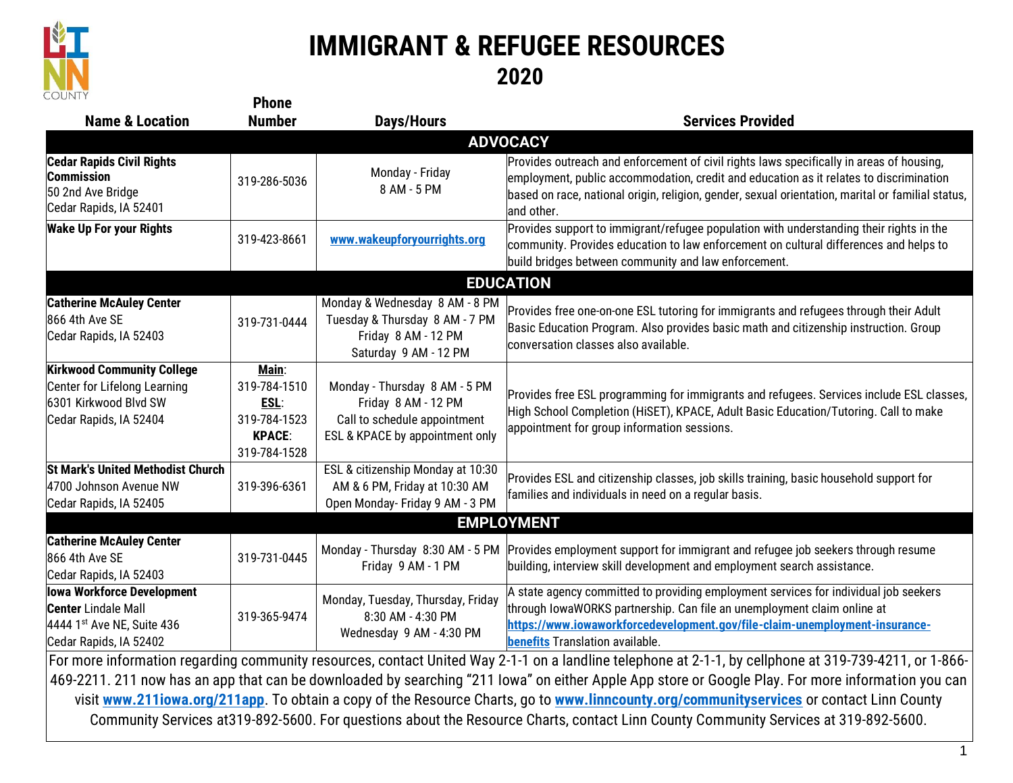

## **IMMIGRANT & REFUGEE RESOURCES 2020**

| <b>COUNTY</b>                                                                                                                                                                                                                                                                                                                                                                                                                       | <b>Phone</b>                                                                   |                                                                                                                         |                                                                                                                                                                                                                                                                                                       |  |  |  |
|-------------------------------------------------------------------------------------------------------------------------------------------------------------------------------------------------------------------------------------------------------------------------------------------------------------------------------------------------------------------------------------------------------------------------------------|--------------------------------------------------------------------------------|-------------------------------------------------------------------------------------------------------------------------|-------------------------------------------------------------------------------------------------------------------------------------------------------------------------------------------------------------------------------------------------------------------------------------------------------|--|--|--|
| <b>Name &amp; Location</b>                                                                                                                                                                                                                                                                                                                                                                                                          | <b>Number</b>                                                                  | <b>Days/Hours</b>                                                                                                       | <b>Services Provided</b>                                                                                                                                                                                                                                                                              |  |  |  |
| <b>ADVOCACY</b>                                                                                                                                                                                                                                                                                                                                                                                                                     |                                                                                |                                                                                                                         |                                                                                                                                                                                                                                                                                                       |  |  |  |
| <b>Cedar Rapids Civil Rights</b><br><b>Commission</b><br>50 2nd Ave Bridge<br>Cedar Rapids, IA 52401                                                                                                                                                                                                                                                                                                                                | 319-286-5036                                                                   | Monday - Friday<br>8 AM - 5 PM                                                                                          | Provides outreach and enforcement of civil rights laws specifically in areas of housing,<br>employment, public accommodation, credit and education as it relates to discrimination<br>based on race, national origin, religion, gender, sexual orientation, marital or familial status,<br>and other. |  |  |  |
| <b>Wake Up For your Rights</b>                                                                                                                                                                                                                                                                                                                                                                                                      | 319-423-8661                                                                   | www.wakeupforyourrights.org                                                                                             | Provides support to immigrant/refugee population with understanding their rights in the<br>community. Provides education to law enforcement on cultural differences and helps to<br>build bridges between community and law enforcement.                                                              |  |  |  |
|                                                                                                                                                                                                                                                                                                                                                                                                                                     |                                                                                |                                                                                                                         | <b>EDUCATION</b>                                                                                                                                                                                                                                                                                      |  |  |  |
| <b>Catherine McAuley Center</b><br>866 4th Ave SE<br>Cedar Rapids, IA 52403                                                                                                                                                                                                                                                                                                                                                         | 319-731-0444                                                                   | Monday & Wednesday 8 AM - 8 PM<br>Tuesday & Thursday 8 AM - 7 PM<br>Friday 8 AM - 12 PM<br>Saturday 9 AM - 12 PM        | Provides free one-on-one ESL tutoring for immigrants and refugees through their Adult<br>Basic Education Program. Also provides basic math and citizenship instruction. Group<br>conversation classes also available.                                                                                 |  |  |  |
| <b>Kirkwood Community College</b><br>Center for Lifelong Learning<br>6301 Kirkwood Blvd SW<br>Cedar Rapids, IA 52404                                                                                                                                                                                                                                                                                                                | Main:<br>319-784-1510<br>ESL:<br>319-784-1523<br><b>KPACE:</b><br>319-784-1528 | Monday - Thursday 8 AM - 5 PM<br>Friday 8 AM - 12 PM<br>Call to schedule appointment<br>ESL & KPACE by appointment only | Provides free ESL programming for immigrants and refugees. Services include ESL classes,<br>High School Completion (HiSET), KPACE, Adult Basic Education/Tutoring. Call to make<br>appointment for group information sessions.                                                                        |  |  |  |
| <b>St Mark's United Methodist Church</b><br>4700 Johnson Avenue NW<br>Cedar Rapids, IA 52405                                                                                                                                                                                                                                                                                                                                        | 319-396-6361                                                                   | ESL & citizenship Monday at 10:30<br>AM & 6 PM, Friday at 10:30 AM<br>Open Monday- Friday 9 AM - 3 PM                   | Provides ESL and citizenship classes, job skills training, basic household support for<br>families and individuals in need on a regular basis.                                                                                                                                                        |  |  |  |
| <b>EMPLOYMENT</b>                                                                                                                                                                                                                                                                                                                                                                                                                   |                                                                                |                                                                                                                         |                                                                                                                                                                                                                                                                                                       |  |  |  |
| <b>Catherine McAuley Center</b><br>866 4th Ave SE<br>Cedar Rapids, IA 52403                                                                                                                                                                                                                                                                                                                                                         | 319-731-0445                                                                   | Monday - Thursday 8:30 AM - 5 PM<br>Friday 9 AM - 1 PM                                                                  | Provides employment support for immigrant and refugee job seekers through resume<br>building, interview skill development and employment search assistance.                                                                                                                                           |  |  |  |
| lowa Workforce Development<br><b>Center</b> Lindale Mall<br>4444 1st Ave NE, Suite 436<br>Cedar Rapids, IA 52402                                                                                                                                                                                                                                                                                                                    | 319-365-9474                                                                   | Monday, Tuesday, Thursday, Friday<br>8:30 AM - 4:30 PM<br>Wednesday 9 AM - 4:30 PM                                      | A state agency committed to providing employment services for individual job seekers<br>through IowaWORKS partnership. Can file an unemployment claim online at<br>https://www.iowaworkforcedevelopment.gov/file-claim-unemployment-insurance-<br>benefits Translation available.                     |  |  |  |
| For more information regarding community resources, contact United Way 2-1-1 on a landline telephone at 2-1-1, by cellphone at 319-739-4211, or 1-866-<br>469-2211. 211 now has an app that can be downloaded by searching "211 Iowa" on either Apple App store or Google Play. For more information you can<br>بالمادية والمتراث والمتحاول والمتحاول والمتحافظة والمتحاولة والمتحافظة والمتحاف والمتحاف والمتحاف والمتحاف والمتحاف |                                                                                |                                                                                                                         |                                                                                                                                                                                                                                                                                                       |  |  |  |

visit **[www.211iowa.org/211app](http://www.211iowa.org/211app)**. To obtain a copy of the Resource Charts, go to **[www.linncounty.org/communityservices](http://www.linncounty.org/communityservices)** or contact Linn County Community Services at319-892-5600. For questions about the Resource Charts, contact Linn County Community Services at 319-892-5600.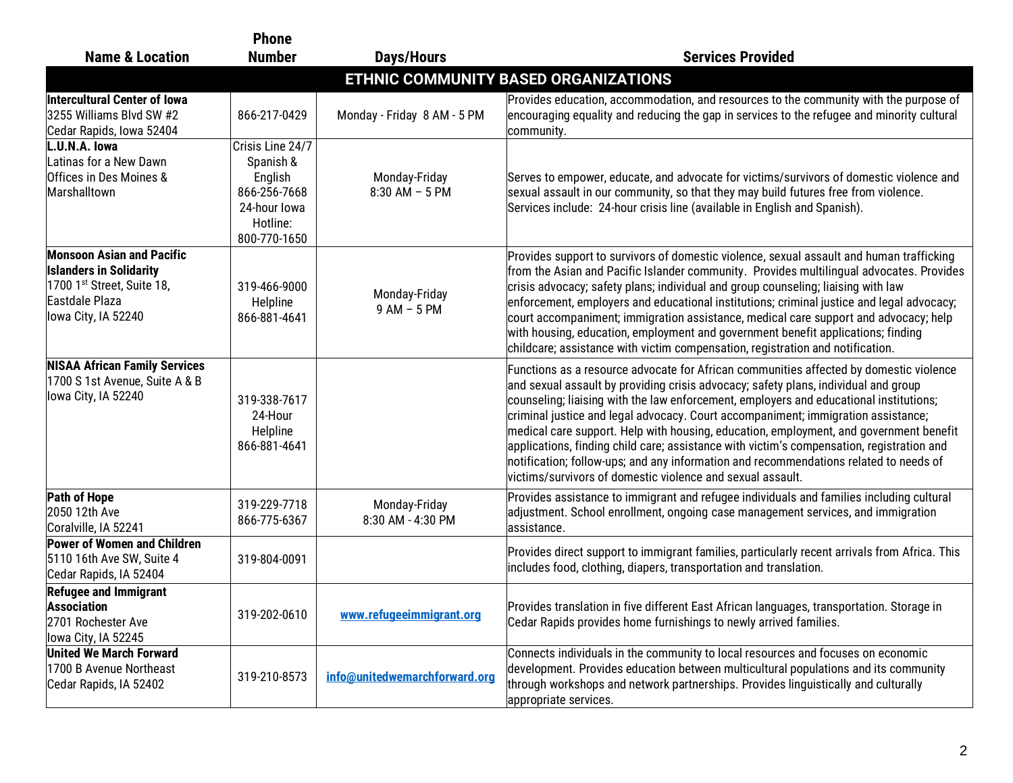|                                                                                                                                           | <b>Phone</b>                                                                                         |                                    |                                                                                                                                                                                                                                                                                                                                                                                                                                                                                                                                                                                                                                                                                                            |
|-------------------------------------------------------------------------------------------------------------------------------------------|------------------------------------------------------------------------------------------------------|------------------------------------|------------------------------------------------------------------------------------------------------------------------------------------------------------------------------------------------------------------------------------------------------------------------------------------------------------------------------------------------------------------------------------------------------------------------------------------------------------------------------------------------------------------------------------------------------------------------------------------------------------------------------------------------------------------------------------------------------------|
| <b>Name &amp; Location</b>                                                                                                                | <b>Number</b>                                                                                        | <b>Days/Hours</b>                  | <b>Services Provided</b>                                                                                                                                                                                                                                                                                                                                                                                                                                                                                                                                                                                                                                                                                   |
|                                                                                                                                           |                                                                                                      |                                    | ETHNIC COMMUNITY BASED ORGANIZATIONS                                                                                                                                                                                                                                                                                                                                                                                                                                                                                                                                                                                                                                                                       |
| Intercultural Center of Iowa<br>3255 Williams Blvd SW #2<br>Cedar Rapids, Iowa 52404                                                      | 866-217-0429                                                                                         | Monday - Friday 8 AM - 5 PM        | Provides education, accommodation, and resources to the community with the purpose of<br>encouraging equality and reducing the gap in services to the refugee and minority cultural<br>community.                                                                                                                                                                                                                                                                                                                                                                                                                                                                                                          |
| L.U.N.A. lowa<br>Latinas for a New Dawn<br>Offices in Des Moines &<br>Marshalltown                                                        | Crisis Line 24/7<br>Spanish &<br>English<br>866-256-7668<br>24-hour lowa<br>Hotline:<br>800-770-1650 | Monday-Friday<br>$8:30$ AM - 5 PM  | Serves to empower, educate, and advocate for victims/survivors of domestic violence and<br>sexual assault in our community, so that they may build futures free from violence.<br>Services include: 24-hour crisis line (available in English and Spanish).                                                                                                                                                                                                                                                                                                                                                                                                                                                |
| <b>Monsoon Asian and Pacific</b><br><b>Islanders in Solidarity</b><br>1700 1st Street, Suite 18,<br>Eastdale Plaza<br>lowa City, IA 52240 | 319-466-9000<br>Helpline<br>866-881-4641                                                             | Monday-Friday<br>$9AM - 5PM$       | Provides support to survivors of domestic violence, sexual assault and human trafficking<br>from the Asian and Pacific Islander community. Provides multilingual advocates. Provides<br>crisis advocacy; safety plans; individual and group counseling; liaising with law<br>enforcement, employers and educational institutions; criminal justice and legal advocacy;<br>court accompaniment; immigration assistance, medical care support and advocacy; help<br>with housing, education, employment and government benefit applications; finding<br>childcare; assistance with victim compensation, registration and notification.                                                                       |
| <b>NISAA African Family Services</b><br>1700 S 1st Avenue, Suite A & B<br>lowa City, IA 52240                                             | 319-338-7617<br>24-Hour<br>Helpline<br>866-881-4641                                                  |                                    | Functions as a resource advocate for African communities affected by domestic violence<br>and sexual assault by providing crisis advocacy; safety plans, individual and group<br>counseling; liaising with the law enforcement, employers and educational institutions;<br>criminal justice and legal advocacy. Court accompaniment; immigration assistance;<br>medical care support. Help with housing, education, employment, and government benefit<br>applications, finding child care; assistance with victim's compensation, registration and<br>notification; follow-ups; and any information and recommendations related to needs of<br>victims/survivors of domestic violence and sexual assault. |
| Path of Hope<br>2050 12th Ave<br>Coralville, IA 52241                                                                                     | 319-229-7718<br>866-775-6367                                                                         | Monday-Friday<br>8:30 AM - 4:30 PM | Provides assistance to immigrant and refugee individuals and families including cultural<br>adjustment. School enrollment, ongoing case management services, and immigration<br>assistance.                                                                                                                                                                                                                                                                                                                                                                                                                                                                                                                |
| Power of Women and Children<br>5110 16th Ave SW, Suite 4<br>Cedar Rapids, IA 52404                                                        | 319-804-0091                                                                                         |                                    | Provides direct support to immigrant families, particularly recent arrivals from Africa. This<br>includes food, clothing, diapers, transportation and translation.                                                                                                                                                                                                                                                                                                                                                                                                                                                                                                                                         |
| <b>Refugee and Immigrant</b><br><b>Association</b><br>2701 Rochester Ave<br>lowa City, IA 52245                                           | 319-202-0610                                                                                         | www.refugeeimmigrant.org           | Provides translation in five different East African languages, transportation. Storage in<br>Cedar Rapids provides home furnishings to newly arrived families.                                                                                                                                                                                                                                                                                                                                                                                                                                                                                                                                             |
| <b>United We March Forward</b><br>1700 B Avenue Northeast<br>Cedar Rapids, IA 52402                                                       | 319-210-8573                                                                                         | info@unitedwemarchforward.org      | Connects individuals in the community to local resources and focuses on economic<br>development. Provides education between multicultural populations and its community<br>through workshops and network partnerships. Provides linguistically and culturally<br>appropriate services.                                                                                                                                                                                                                                                                                                                                                                                                                     |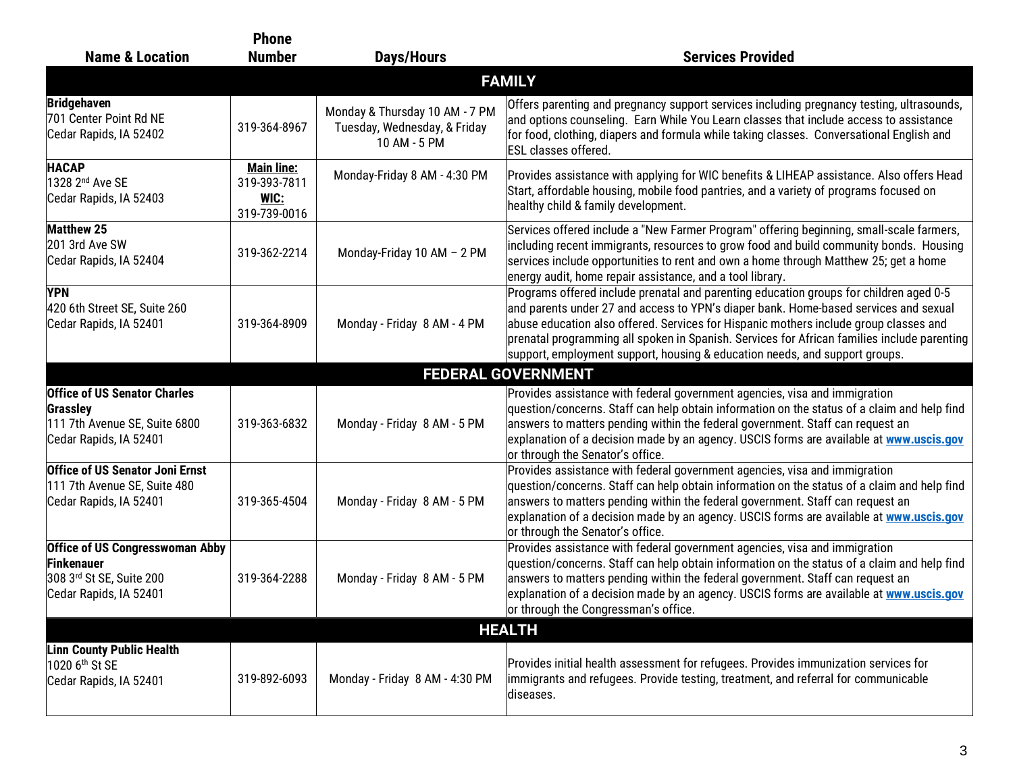| <b>Name &amp; Location</b>                                                                                 | <b>Phone</b><br><b>Number</b>                             | <b>Days/Hours</b>                                                              | <b>Services Provided</b>                                                                                                                                                                                                                                                                                                                                                                                                                              |  |  |
|------------------------------------------------------------------------------------------------------------|-----------------------------------------------------------|--------------------------------------------------------------------------------|-------------------------------------------------------------------------------------------------------------------------------------------------------------------------------------------------------------------------------------------------------------------------------------------------------------------------------------------------------------------------------------------------------------------------------------------------------|--|--|
| <b>FAMILY</b>                                                                                              |                                                           |                                                                                |                                                                                                                                                                                                                                                                                                                                                                                                                                                       |  |  |
|                                                                                                            |                                                           |                                                                                |                                                                                                                                                                                                                                                                                                                                                                                                                                                       |  |  |
| <b>Bridgehaven</b><br>701 Center Point Rd NE<br>Cedar Rapids, IA 52402                                     | 319-364-8967                                              | Monday & Thursday 10 AM - 7 PM<br>Tuesday, Wednesday, & Friday<br>10 AM - 5 PM | Offers parenting and pregnancy support services including pregnancy testing, ultrasounds,<br>and options counseling. Earn While You Learn classes that include access to assistance<br>for food, clothing, diapers and formula while taking classes. Conversational English and<br><b>ESL</b> classes offered.                                                                                                                                        |  |  |
| <b>HACAP</b><br>1328 2nd Ave SE<br>Cedar Rapids, IA 52403                                                  | <b>Main line:</b><br>319-393-7811<br>WIC:<br>319-739-0016 | Monday-Friday 8 AM - 4:30 PM                                                   | Provides assistance with applying for WIC benefits & LIHEAP assistance. Also offers Head<br>Start, affordable housing, mobile food pantries, and a variety of programs focused on<br>healthy child & family development.                                                                                                                                                                                                                              |  |  |
| <b>Matthew 25</b><br>201 3rd Ave SW<br>Cedar Rapids, IA 52404                                              | 319-362-2214                                              | Monday-Friday 10 AM - 2 PM                                                     | Services offered include a "New Farmer Program" offering beginning, small-scale farmers,<br>including recent immigrants, resources to grow food and build community bonds. Housing<br>services include opportunities to rent and own a home through Matthew 25; get a home<br>energy audit, home repair assistance, and a tool library.                                                                                                               |  |  |
| <b>YPN</b><br>420 6th Street SE, Suite 260<br>Cedar Rapids, IA 52401                                       | 319-364-8909                                              | Monday - Friday 8 AM - 4 PM                                                    | Programs offered include prenatal and parenting education groups for children aged 0-5<br>and parents under 27 and access to YPN's diaper bank. Home-based services and sexual<br>abuse education also offered. Services for Hispanic mothers include group classes and<br>prenatal programming all spoken in Spanish. Services for African families include parenting<br>support, employment support, housing & education needs, and support groups. |  |  |
|                                                                                                            |                                                           |                                                                                | <b>FEDERAL GOVERNMENT</b>                                                                                                                                                                                                                                                                                                                                                                                                                             |  |  |
| <b>Office of US Senator Charles</b><br>Grassley<br>111 7th Avenue SE, Suite 6800<br>Cedar Rapids, IA 52401 | 319-363-6832                                              | Monday - Friday 8 AM - 5 PM                                                    | Provides assistance with federal government agencies, visa and immigration<br>question/concerns. Staff can help obtain information on the status of a claim and help find<br>answers to matters pending within the federal government. Staff can request an<br>explanation of a decision made by an agency. USCIS forms are available at www.uscis.gov<br>or through the Senator's office.                                                            |  |  |
| <b>Office of US Senator Joni Ernst</b><br>111 7th Avenue SE, Suite 480<br>Cedar Rapids, IA 52401           | 319-365-4504                                              | Monday - Friday 8 AM - 5 PM                                                    | Provides assistance with federal government agencies, visa and immigration<br>question/concerns. Staff can help obtain information on the status of a claim and help find<br>answers to matters pending within the federal government. Staff can request an<br>explanation of a decision made by an agency. USCIS forms are available at www.uscis.gov<br>or through the Senator's office.                                                            |  |  |
| <b>Office of US Congresswoman Abby</b><br>Finkenauer<br>308 3rd St SE, Suite 200<br>Cedar Rapids, IA 52401 | 319-364-2288                                              | Monday - Friday 8 AM - 5 PM                                                    | Provides assistance with federal government agencies, visa and immigration<br>question/concerns. Staff can help obtain information on the status of a claim and help find<br>answers to matters pending within the federal government. Staff can request an<br>explanation of a decision made by an agency. USCIS forms are available at <b>www.uscis.gov</b><br>or through the Congressman's office.                                                 |  |  |
| <b>HEALTH</b>                                                                                              |                                                           |                                                                                |                                                                                                                                                                                                                                                                                                                                                                                                                                                       |  |  |
| <b>Linn County Public Health</b><br>1020 6 <sup>th</sup> St SE<br>Cedar Rapids, IA 52401                   | 319-892-6093                                              | Monday - Friday 8 AM - 4:30 PM                                                 | Provides initial health assessment for refugees. Provides immunization services for<br>immigrants and refugees. Provide testing, treatment, and referral for communicable<br>diseases.                                                                                                                                                                                                                                                                |  |  |